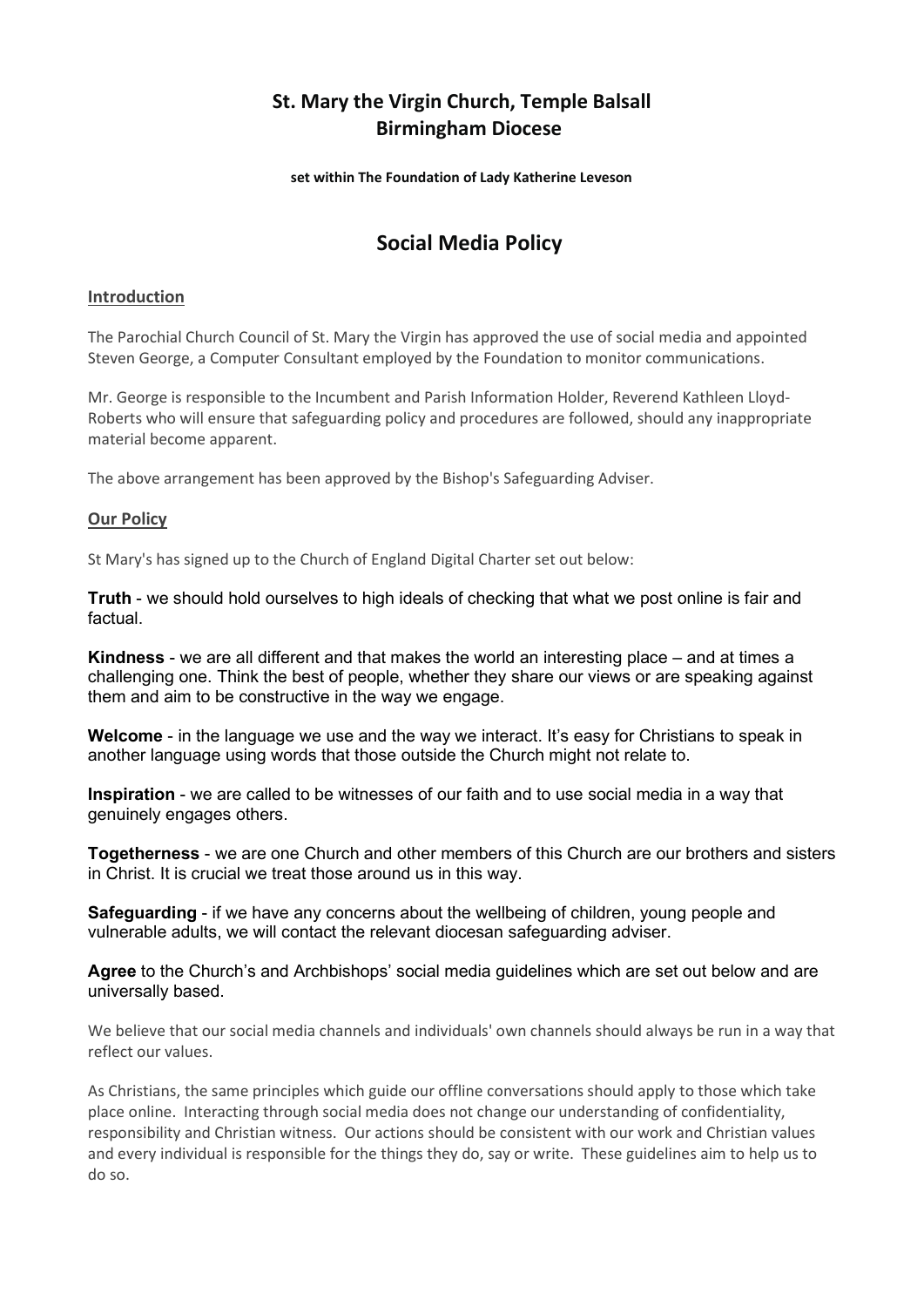## St. Mary the Virgin Church, Temple Balsall Birmingham Diocese

set within The Foundation of Lady Katherine Leveson

# Social Media Policy

#### **Introduction**

The Parochial Church Council of St. Mary the Virgin has approved the use of social media and appointed Steven George, a Computer Consultant employed by the Foundation to monitor communications.

Mr. George is responsible to the Incumbent and Parish Information Holder, Reverend Kathleen Lloyd-Roberts who will ensure that safeguarding policy and procedures are followed, should any inappropriate material become apparent.

The above arrangement has been approved by the Bishop's Safeguarding Adviser.

#### Our Policy

St Mary's has signed up to the Church of England Digital Charter set out below:

Truth - we should hold ourselves to high ideals of checking that what we post online is fair and factual.

Kindness - we are all different and that makes the world an interesting place – and at times a challenging one. Think the best of people, whether they share our views or are speaking against them and aim to be constructive in the way we engage.

Welcome - in the language we use and the way we interact. It's easy for Christians to speak in another language using words that those outside the Church might not relate to.

Inspiration - we are called to be witnesses of our faith and to use social media in a way that genuinely engages others.

Togetherness - we are one Church and other members of this Church are our brothers and sisters in Christ. It is crucial we treat those around us in this way.

Safeguarding - if we have any concerns about the wellbeing of children, young people and vulnerable adults, we will contact the relevant diocesan safeguarding adviser.

Agree to the Church's and Archbishops' social media guidelines which are set out below and are universally based.

We believe that our social media channels and individuals' own channels should always be run in a way that reflect our values.

As Christians, the same principles which guide our offline conversations should apply to those which take place online. Interacting through social media does not change our understanding of confidentiality, responsibility and Christian witness. Our actions should be consistent with our work and Christian values and every individual is responsible for the things they do, say or write. These guidelines aim to help us to do so.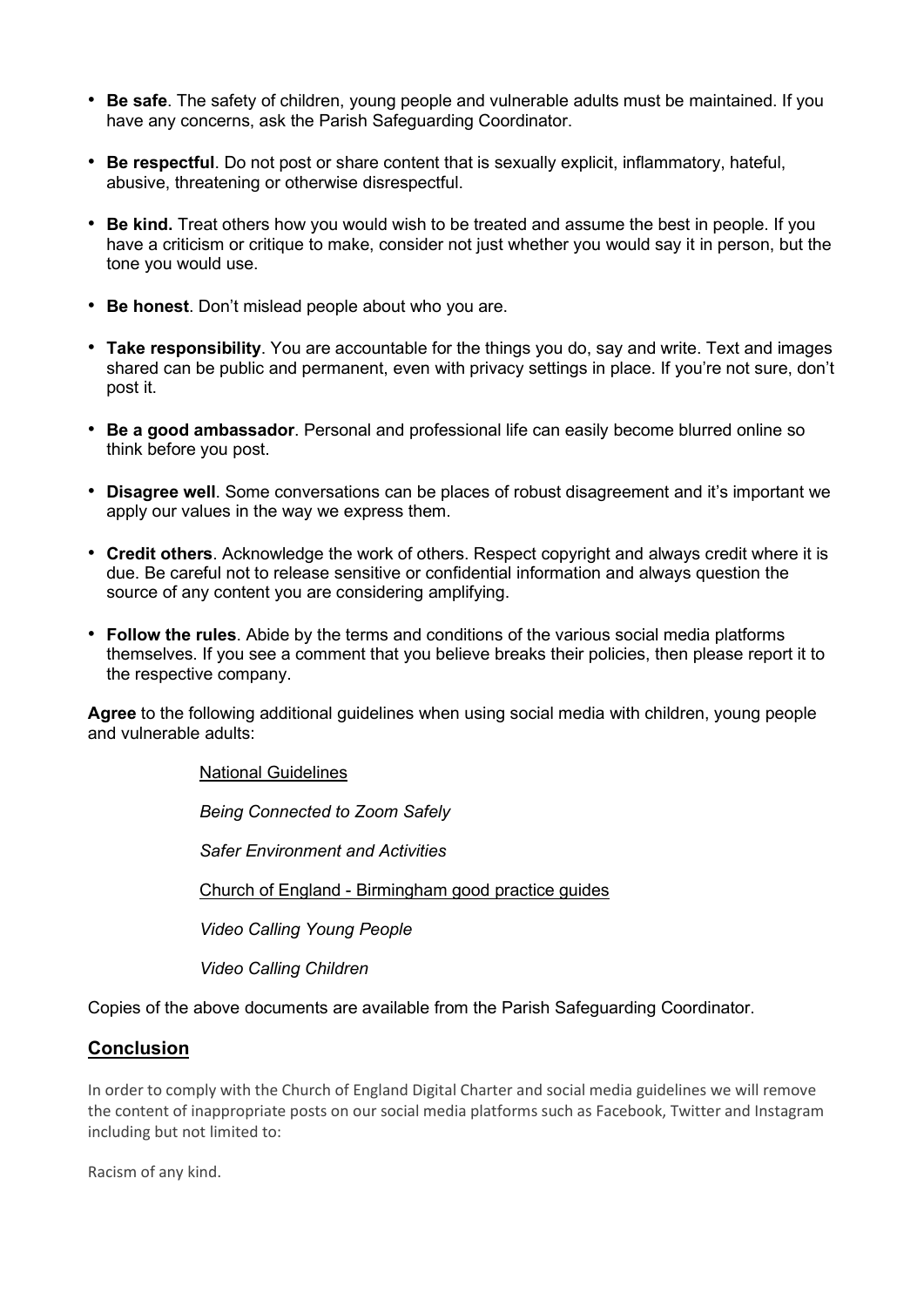- Be safe. The safety of children, young people and vulnerable adults must be maintained. If you have any concerns, ask the Parish Safeguarding Coordinator.
- Be respectful. Do not post or share content that is sexually explicit, inflammatory, hateful, abusive, threatening or otherwise disrespectful.
- Be kind. Treat others how you would wish to be treated and assume the best in people. If you have a criticism or critique to make, consider not just whether you would say it in person, but the tone you would use.
- Be honest. Don't mislead people about who you are.
- Take responsibility. You are accountable for the things you do, say and write. Text and images shared can be public and permanent, even with privacy settings in place. If you're not sure, don't post it.
- Be a good ambassador. Personal and professional life can easily become blurred online so think before you post.
- Disagree well. Some conversations can be places of robust disagreement and it's important we apply our values in the way we express them.
- Credit others. Acknowledge the work of others. Respect copyright and always credit where it is due. Be careful not to release sensitive or confidential information and always question the source of any content you are considering amplifying.
- Follow the rules. Abide by the terms and conditions of the various social media platforms themselves. If you see a comment that you believe breaks their policies, then please report it to the respective company.

Agree to the following additional guidelines when using social media with children, young people and vulnerable adults:

National Guidelines

Being Connected to Zoom Safely

Safer Environment and Activities

Church of England - Birmingham good practice guides

Video Calling Young People

Video Calling Children

Copies of the above documents are available from the Parish Safeguarding Coordinator.

### Conclusion

In order to comply with the Church of England Digital Charter and social media guidelines we will remove the content of inappropriate posts on our social media platforms such as Facebook, Twitter and Instagram including but not limited to:

Racism of any kind.